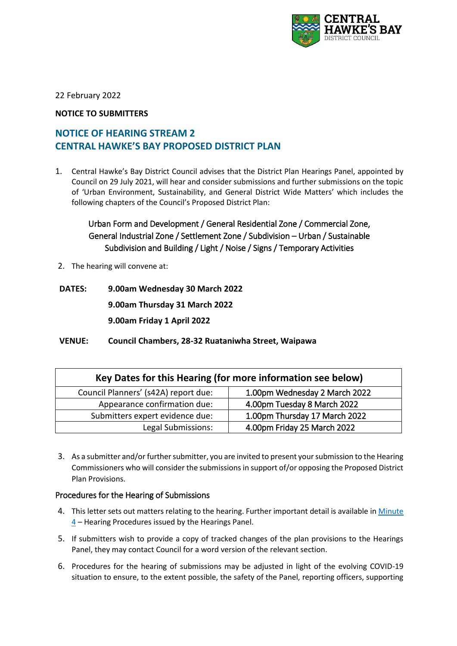

22 February 2022

### **NOTICE TO SUBMITTERS**

# **NOTICE OF HEARING STREAM 2 CENTRAL HAWKE'S BAY PROPOSED DISTRICT PLAN**

1. Central Hawke's Bay District Council advises that the District Plan Hearings Panel, appointed by Council on 29 July 2021, will hear and consider submissions and further submissions on the topic of 'Urban Environment, Sustainability, and General District Wide Matters' which includes the following chapters of the Council's Proposed District Plan:

## Urban Form and Development / General Residential Zone / Commercial Zone, General Industrial Zone / Settlement Zone / Subdivision – Urban / Sustainable Subdivision and Building / Light / Noise / Signs / Temporary Activities

- 2. The hearing will convene at:
- **DATES: 9.00am Wednesday 30 March 2022 9.00am Thursday 31 March 2022 9.00am Friday 1 April 2022**
- **VENUE: Council Chambers, 28-32 Ruataniwha Street, Waipawa**

| Key Dates for this Hearing (for more information see below) |                               |
|-------------------------------------------------------------|-------------------------------|
| Council Planners' (s42A) report due:                        | 1.00pm Wednesday 2 March 2022 |
| Appearance confirmation due:                                | 4.00pm Tuesday 8 March 2022   |
| Submitters expert evidence due:                             | 1.00pm Thursday 17 March 2022 |
| Legal Submissions:                                          | 4.00pm Friday 25 March 2022   |

3. As a submitter and/or further submitter, you are invited to present your submission to the Hearing Commissioners who will consider the submissions in support of/or opposing the Proposed District Plan Provisions.

#### Procedures for the Hearing of Submissions

- 4. This letter sets out matters relating to the hearing. Further important detail is available in [Minute](https://www.chbdc.govt.nz/assets/Document-Library/District-Plan-Proposed/Hearing-Panel-Directives/20211215-Minute-4-Hearing-Procedures-CHBDC-Hearings-Panel1-FINAL-+-WEBSITE-USE.pdf)  [4](https://www.chbdc.govt.nz/assets/Document-Library/District-Plan-Proposed/Hearing-Panel-Directives/20211215-Minute-4-Hearing-Procedures-CHBDC-Hearings-Panel1-FINAL-+-WEBSITE-USE.pdf) – Hearing Procedures issued by the Hearings Panel.
- 5. If submitters wish to provide a copy of tracked changes of the plan provisions to the Hearings Panel, they may contact Council for a word version of the relevant section.
- 6. Procedures for the hearing of submissions may be adjusted in light of the evolving COVID-19 situation to ensure, to the extent possible, the safety of the Panel, reporting officers, supporting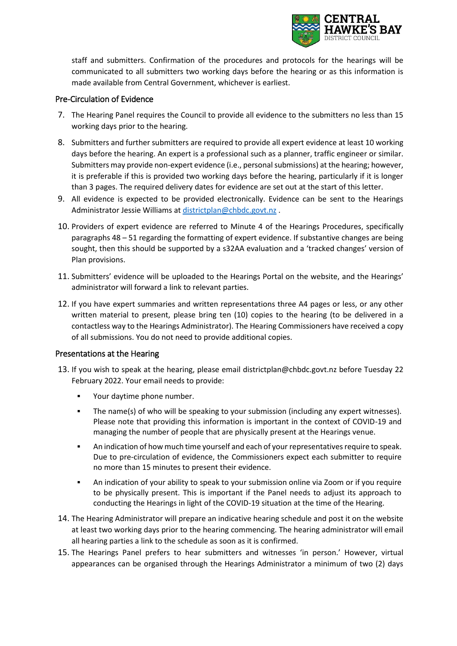

staff and submitters. Confirmation of the procedures and protocols for the hearings will be communicated to all submitters two working days before the hearing or as this information is made available from Central Government, whichever is earliest.

#### Pre-Circulation of Evidence

- 7. The Hearing Panel requires the Council to provide all evidence to the submitters no less than 15 working days prior to the hearing.
- 8. Submitters and further submitters are required to provide all expert evidence at least 10 working days before the hearing. An expert is a professional such as a planner, traffic engineer or similar. Submitters may provide non-expert evidence (i.e., personal submissions) at the hearing; however, it is preferable if this is provided two working days before the hearing, particularly if it is longer than 3 pages. The required delivery dates for evidence are set out at the start of this letter.
- 9. All evidence is expected to be provided electronically. Evidence can be sent to the Hearings Administrator Jessie Williams at [districtplan@chbdc.govt.nz](https://www.chbdc.govt.nz/assets/Document-Library/District-Plan-Proposed/Hearing-Panel-Directives/20211215-Minute-4-Hearing-Procedures-CHBDC-Hearings-Panel1-FINAL-+-WEBSITE-USE.pdf) .
- 10. Providers of expert evidence are referred to [Minute 4](https://www.chbdc.govt.nz/assets/Document-Library/District-Plan-Proposed/Hearing-Panel-Directives/20211215-Minute-4-Hearing-Procedures-CHBDC-Hearings-Panel1-FINAL-+-WEBSITE-USE.pdf) of the Hearings Procedures, specifically paragraphs 48 – 51 regarding the formatting of expert evidence. If substantive changes are being sought, then this should be supported by a s32AA evaluation and a 'tracked changes' version of Plan provisions.
- 11. Submitters' evidence will be uploaded to the Hearings Portal on the website, and the Hearings' administrator will forward a link to relevant parties.
- 12. If you have expert summaries and written representations three A4 pages or less, or any other written material to present, please bring ten (10) copies to the hearing (to be delivered in a contactless way to the Hearings Administrator). The Hearing Commissioners have received a copy of all submissions. You do not need to provide additional copies.

#### Presentations at the Hearing

- 13. If you wish to speak at the hearing, please email [districtplan@chbdc.govt.nz](mailto:districtplan@chbdc.govt.nz) before Tuesday 22 February 2022. Your email needs to provide:
	- Your daytime phone number.
	- The name(s) of who will be speaking to your submission (including any expert witnesses). Please note that providing this information is important in the context of COVID-19 and managing the number of people that are physically present at the Hearings venue.
	- An indication of how much time yourself and each of your representatives require to speak. Due to pre-circulation of evidence, the Commissioners expect each submitter to require no more than 15 minutes to present their evidence.
	- An indication of your ability to speak to your submission online via Zoom or if you require to be physically present. This is important if the Panel needs to adjust its approach to conducting the Hearings in light of the COVID-19 situation at the time of the Hearing.
- 14. The Hearing Administrator will prepare an indicative hearing schedule and post it on the website at least two working days prior to the hearing commencing. The hearing administrator will email all hearing parties a link to the schedule as soon as it is confirmed.
- 15. The Hearings Panel prefers to hear submitters and witnesses 'in person.' However, virtual appearances can be organised through the Hearings Administrator a minimum of two (2) days